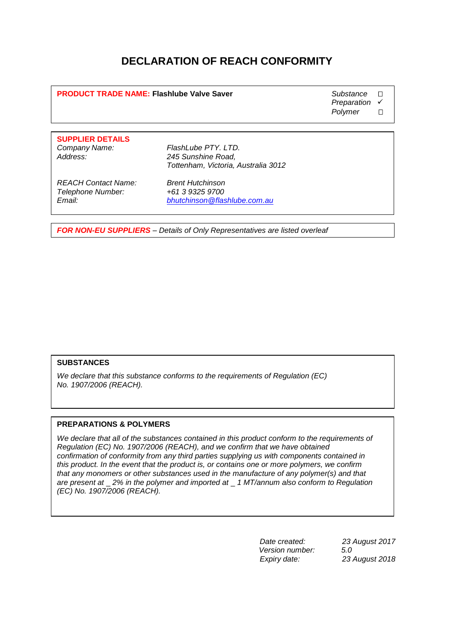## **DECLARATION OF REACH CONFORMITY**

**PRODUCT TRADE NAME: Flashlube Valve Saver <b>by Substance COVID-Substance**  $\Box$ 

**Preparation** 

**Polymer** 

**SUPPLIER DETAILS Company Name: FlashLube PTY. LTD.**<br>Address: **1998** 245 Sunshine Road.

**Address: 245 Sunshine Road, Tottenham, Victoria, Australia 3012**

**REACH Contact Name: Brent Hutchinson Telephone Number:** 

**Email: bhutchinson@flashlube.com.au**

**FOR NON-EU SUPPLIERS – Details of Only Representatives are listed overleaf**

## **SUBSTANCES**

**We declare that this substance conforms to the requirements of Regulation (EC) No. 1907/2006 (REACH).**

## **PREPARATIONS & POLYMERS**

**We declare that all of the substances contained in this product conform to the requirements of Regulation (EC) No. 1907/2006 (REACH), and we confirm that we have obtained confirmation of conformity from any third parties supplying us with components contained in this product. In the event that the product is, or contains one or more polymers, we confirm that any monomers or other substances used in the manufacture of any polymer(s) and that are present at** \_ **2% in the polymer and imported at** \_ **1 MT/annum also conform to Regulation (EC) No. 1907/2006 (REACH).**

> **Date created: 23 August 2017 Version number: 5***.0* **Expiry date: 23 August 2018**